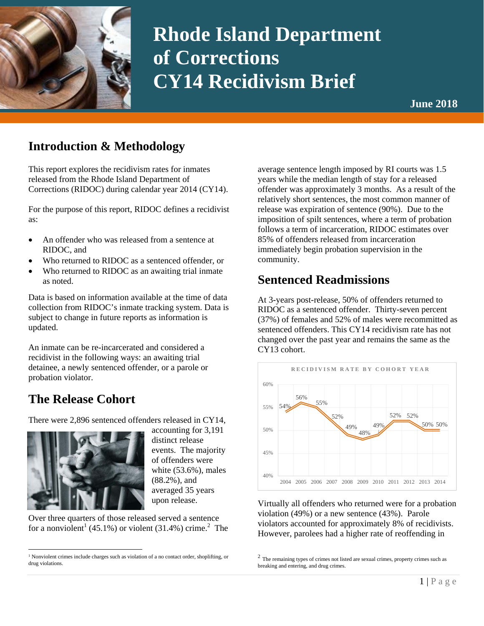

# **Rhode Island Department of Corrections CY14 Recidivism Brief**

### **Introduction & Methodology**

This report explores the recidivism rates for inmates released from the Rhode Island Department of Corrections (RIDOC) during calendar year 2014 (CY14).

For the purpose of this report, RIDOC defines a recidivist as:

- An offender who was released from a sentence at RIDOC, and
- Who returned to RIDOC as a sentenced offender, or
- Who returned to RIDOC as an awaiting trial inmate as noted.

Data is based on information available at the time of data collection from RIDOC's inmate tracking system. Data is subject to change in future reports as information is updated.

An inmate can be re-incarcerated and considered a recidivist in the following ways: an awaiting trial detainee, a newly sentenced offender, or a parole or probation violator.

## **The Release Cohort**

There were 2,896 sentenced offenders released in CY14,



accounting for 3,191 distinct release events. The majority of offenders were white (53.6%), males (88.2%), and averaged 35 years upon release.

Over three quarters of those released served a sentence for a nonviolent<sup>1</sup> (45.1%) or violent (31.4%) crime.<sup>2</sup> The average sentence length imposed by RI courts was 1.5 years while the median length of stay for a released offender was approximately 3 months. As a result of the relatively short sentences, the most common manner of release was expiration of sentence (90%). Due to the imposition of spilt sentences, where a term of probation follows a term of incarceration, RIDOC estimates over 85% of offenders released from incarceration immediately begin probation supervision in the community.

## **Sentenced Readmissions**

At 3-years post-release, 50% of offenders returned to RIDOC as a sentenced offender. Thirty-seven percent (37%) of females and 52% of males were recommitted as sentenced offenders. This CY14 recidivism rate has not changed over the past year and remains the same as the CY13 cohort.



Virtually all offenders who returned were for a probation violation (49%) or a new sentence (43%). Parole violators accounted for approximately 8% of recidivists. However, parolees had a higher rate of reoffending in

 $\overline{a}$ <sup>1</sup> Nonviolent crimes include charges such as violation of a no contact order, shoplifting, or drug violations.

 $2$  The remaining types of crimes not listed are sexual crimes, property crimes such as breaking and entering, and drug crimes.